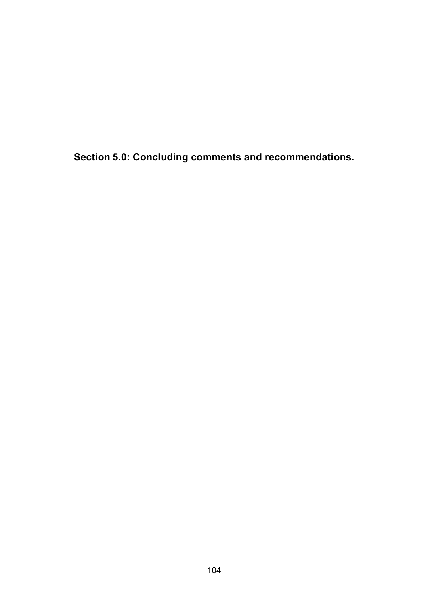**Section 5.0: Concluding comments and recommendations.**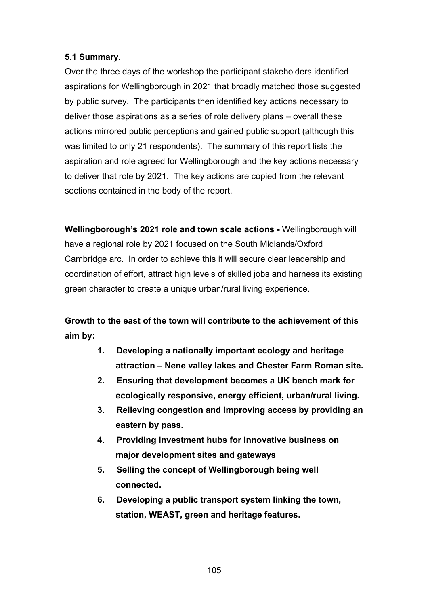## **5.1 Summary.**

Over the three days of the workshop the participant stakeholders identified aspirations for Wellingborough in 2021 that broadly matched those suggested by public survey. The participants then identified key actions necessary to deliver those aspirations as a series of role delivery plans – overall these actions mirrored public perceptions and gained public support (although this was limited to only 21 respondents). The summary of this report lists the aspiration and role agreed for Wellingborough and the key actions necessary to deliver that role by 2021. The key actions are copied from the relevant sections contained in the body of the report.

**Wellingborough's 2021 role and town scale actions -** Wellingborough will have a regional role by 2021 focused on the South Midlands/Oxford Cambridge arc. In order to achieve this it will secure clear leadership and coordination of effort, attract high levels of skilled jobs and harness its existing green character to create a unique urban/rural living experience.

## **Growth to the east of the town will contribute to the achievement of this aim by:**

- **1. Developing a nationally important ecology and heritage attraction – Nene valley lakes and Chester Farm Roman site.**
- **2. Ensuring that development becomes a UK bench mark for ecologically responsive, energy efficient, urban/rural living.**
- **3. Relieving congestion and improving access by providing an eastern by pass.**
- **4. Providing investment hubs for innovative business on major development sites and gateways**
- **5. Selling the concept of Wellingborough being well connected.**
- **6. Developing a public transport system linking the town, station, WEAST, green and heritage features.**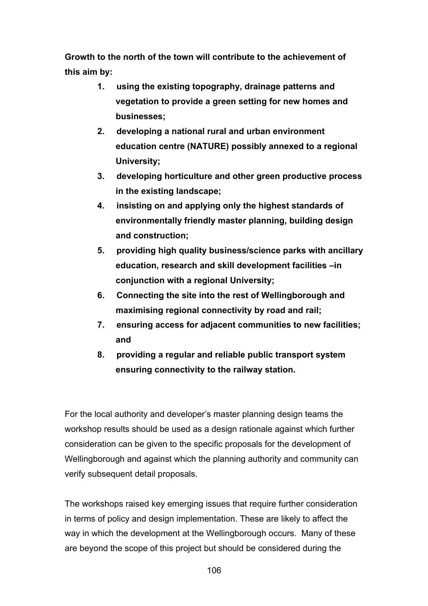**Growth to the north of the town will contribute to the achievement of this aim by:** 

- **1. using the existing topography, drainage patterns and vegetation to provide a green setting for new homes and businesses;**
- **2. developing a national rural and urban environment education centre (NATURE) possibly annexed to a regional University;**
- **3. developing horticulture and other green productive process in the existing landscape;**
- **4. insisting on and applying only the highest standards of environmentally friendly master planning, building design and construction;**
- **5. providing high quality business/science parks with ancillary education, research and skill development facilities –in conjunction with a regional University;**
- **6. Connecting the site into the rest of Wellingborough and maximising regional connectivity by road and rail;**
- **7. ensuring access for adjacent communities to new facilities; and**
- **8. providing a regular and reliable public transport system ensuring connectivity to the railway station.**

For the local authority and developer's master planning design teams the workshop results should be used as a design rationale against which further consideration can be given to the specific proposals for the development of Wellingborough and against which the planning authority and community can verify subsequent detail proposals.

The workshops raised key emerging issues that require further consideration in terms of policy and design implementation. These are likely to affect the way in which the development at the Wellingborough occurs. Many of these are beyond the scope of this project but should be considered during the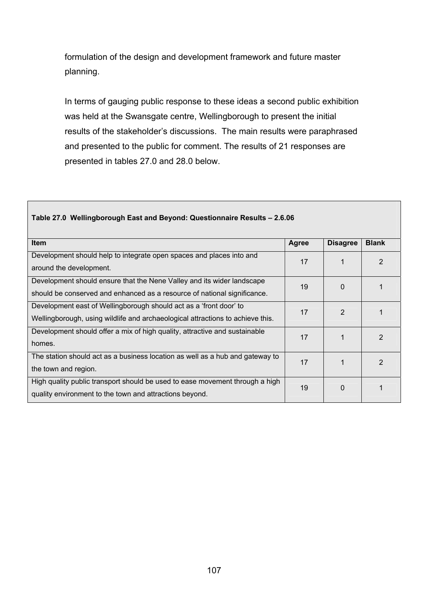formulation of the design and development framework and future master planning.

In terms of gauging public response to these ideas a second public exhibition was held at the Swansgate centre, Wellingborough to present the initial results of the stakeholder's discussions. The main results were paraphrased and presented to the public for comment. The results of 21 responses are presented in tables 27.0 and 28.0 below.

| <b>Item</b>                                                                    | Agree | <b>Disagree</b> | <b>Blank</b> |
|--------------------------------------------------------------------------------|-------|-----------------|--------------|
| Development should help to integrate open spaces and places into and           | 17    |                 | 2            |
| around the development.                                                        |       |                 |              |
| Development should ensure that the Nene Valley and its wider landscape         | 19    | 0               |              |
| should be conserved and enhanced as a resource of national significance.       |       |                 |              |
| Development east of Wellingborough should act as a 'front door' to             | 17    | $\mathfrak{p}$  |              |
| Wellingborough, using wildlife and archaeological attractions to achieve this. |       |                 |              |
| Development should offer a mix of high quality, attractive and sustainable     | 17    |                 | 2            |
| homes.                                                                         |       |                 |              |
| The station should act as a business location as well as a hub and gateway to  | 17    |                 | 2            |
| the town and region.                                                           |       |                 |              |
| High quality public transport should be used to ease movement through a high   | 19    | 0               |              |
| quality environment to the town and attractions beyond.                        |       |                 |              |

## **Table 27.0 Wellingborough East and Beyond: Questionnaire Results – 2.6.06**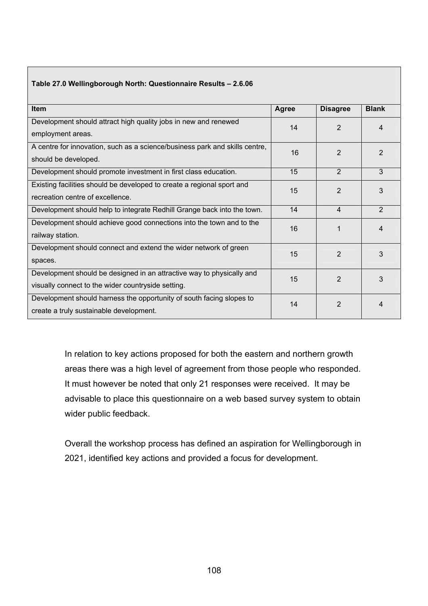| Item                                                                        | Agree | <b>Disagree</b> | <b>Blank</b>   |
|-----------------------------------------------------------------------------|-------|-----------------|----------------|
| Development should attract high quality jobs in new and renewed             | 14    | $\overline{2}$  | 4              |
| employment areas.                                                           |       |                 |                |
| A centre for innovation, such as a science/business park and skills centre, | 16    | $\mathcal{P}$   | $\mathfrak{p}$ |
| should be developed.                                                        |       |                 |                |
| Development should promote investment in first class education.             | 15    | $\overline{2}$  | 3              |
| Existing facilities should be developed to create a regional sport and      | 15    | $\overline{2}$  | 3              |
| recreation centre of excellence.                                            |       |                 |                |
| Development should help to integrate Redhill Grange back into the town.     | 14    | $\overline{4}$  | 2              |
| Development should achieve good connections into the town and to the        | 16    | 1               | 4              |
| railway station.                                                            |       |                 |                |
| Development should connect and extend the wider network of green            | 15    | $\overline{2}$  | 3              |
| spaces.                                                                     |       |                 |                |
| Development should be designed in an attractive way to physically and       | 15    | $\overline{2}$  | 3              |
| visually connect to the wider countryside setting.                          |       |                 |                |
| Development should harness the opportunity of south facing slopes to        | 14    | $\overline{2}$  | 4              |
| create a truly sustainable development.                                     |       |                 |                |

**Table 27.0 Wellingborough North: Questionnaire Results – 2.6.06** 

In relation to key actions proposed for both the eastern and northern growth areas there was a high level of agreement from those people who responded. It must however be noted that only 21 responses were received. It may be advisable to place this questionnaire on a web based survey system to obtain wider public feedback.

Overall the workshop process has defined an aspiration for Wellingborough in 2021, identified key actions and provided a focus for development.